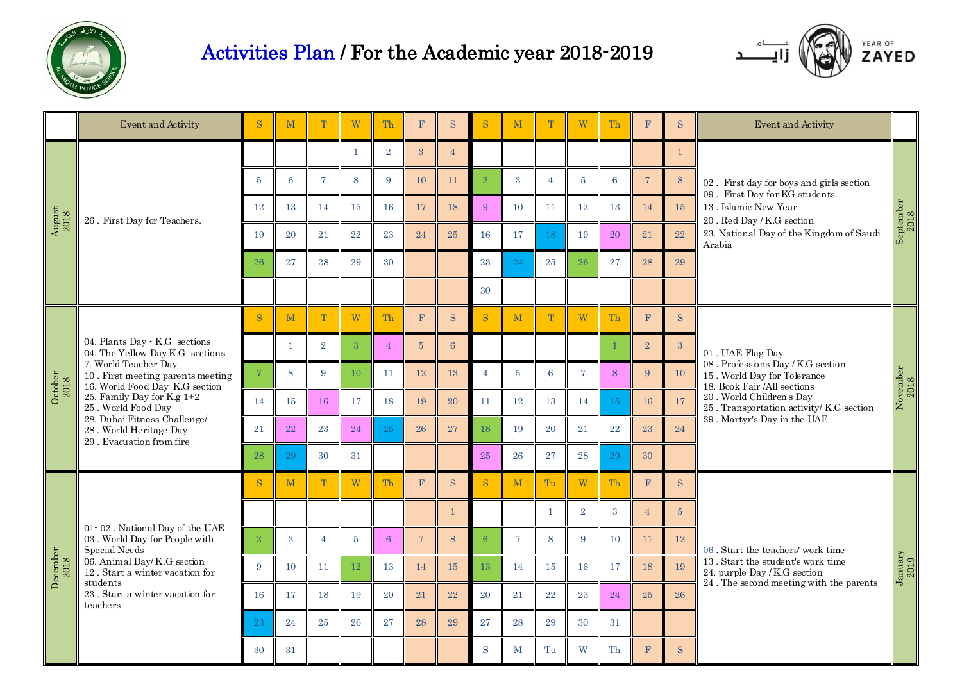

## Activities Plan / For the Academic year 2018-2019



|                                                         | Event and Activity                                                                                                                                                                                                                                                                                        | S              | M            |                | W              | Th              | F              | S.             |                 | M              | T               | W              | Th | F              | ${\bf S}$       | Event and Activity                                                                                                                                                                                                                  |                                                          |
|---------------------------------------------------------|-----------------------------------------------------------------------------------------------------------------------------------------------------------------------------------------------------------------------------------------------------------------------------------------------------------|----------------|--------------|----------------|----------------|-----------------|----------------|----------------|-----------------|----------------|-----------------|----------------|----|----------------|-----------------|-------------------------------------------------------------------------------------------------------------------------------------------------------------------------------------------------------------------------------------|----------------------------------------------------------|
| $\begin{array}{c} \rm{August} \\ \rm{2018} \end{array}$ | 26. First Day for Teachers.                                                                                                                                                                                                                                                                               |                |              |                | -1             | $\overline{2}$  | 3              | $\overline{4}$ |                 |                |                 |                |    |                | 1               | 02. First day for boys and girls section<br>09. First Day for KG students.<br>13. Islamic New Year<br>20. Red Day / K.G section<br>23. National Day of the Kingdom of Saudi<br>Arabia                                               | $\begin{array}{c} \rm September \\ \rm 2018 \end{array}$ |
|                                                         |                                                                                                                                                                                                                                                                                                           | $\overline{5}$ | 6            | $\overline{7}$ | 8              | 9               | 10             | 11             | $\overline{2}$  | 3              | $\overline{4}$  | $\overline{5}$ | 6  | $\overline{7}$ | 8               |                                                                                                                                                                                                                                     |                                                          |
|                                                         |                                                                                                                                                                                                                                                                                                           | 12             | 13           | 14             | 15             | 16              | 17             | 18             | 9               | 10             | 11              | 12             | 13 | 14             | 15              |                                                                                                                                                                                                                                     |                                                          |
|                                                         |                                                                                                                                                                                                                                                                                                           | 19             | 20           | 21             | 22             | 23              | 24             | 25             | 16              | 17             | 18              | 19             | 20 | 21             | 22              |                                                                                                                                                                                                                                     |                                                          |
|                                                         |                                                                                                                                                                                                                                                                                                           | 26             | 27           | 28             | 29             | 30              |                |                | 23              | 24             | 25              | 26             | 27 | 28             | 29              |                                                                                                                                                                                                                                     |                                                          |
|                                                         |                                                                                                                                                                                                                                                                                                           |                |              |                |                |                 |                |                | 30              |                |                 |                |    |                |                 |                                                                                                                                                                                                                                     |                                                          |
| October $2018$                                          | 04. Plants Day · K.G sections<br>04. The Yellow Day K.G sections<br>7. World Teacher Day<br>10. First meeting parents meeting<br>16. World Food Day K.G section<br>25. Family Day for K.g 1+2<br>25. World Food Day<br>28. Dubai Fitness Challenge/<br>28. World Heritage Day<br>29. Evacuation from fire | <sub>S</sub>   | M            | T              | W              | Th              | $\mathbf{F}$   | S.             | <sub>S</sub>    | M              | T               | W              | Th | F              | <sub>S</sub>    | 01. UAE Flag Day<br>08. Professions Day / K.G section<br>15. World Day for Tolerance<br>18. Book Fair /All sections<br>20. World Children's Day<br>$25$ . Transportation activity/ $\rm K.G$ section<br>29. Martyr's Day in the UAE | $\begin{array}{c} \text{November} \\ 2018 \end{array}$   |
|                                                         |                                                                                                                                                                                                                                                                                                           |                | $\mathbf{1}$ | $\overline{2}$ | 3              | $\overline{4}$  | $5\,$          | 6 <sup>1</sup> |                 |                |                 |                |    | $\overline{2}$ | $\mathbf{3}$    |                                                                                                                                                                                                                                     |                                                          |
|                                                         |                                                                                                                                                                                                                                                                                                           | $\overline{7}$ | $\,8\,$      | 9              | 10             | 11              | 12             | 13             | $\overline{4}$  | $5^{\circ}$    | $6\overline{6}$ | $\overline{7}$ | 8  | 9              | 10              |                                                                                                                                                                                                                                     |                                                          |
|                                                         |                                                                                                                                                                                                                                                                                                           | 14             | 15           | 16             | 17             | 18              | 19             | 20             | 11              | 12             | 13              | 14             | 15 | 16             | 17              |                                                                                                                                                                                                                                     |                                                          |
|                                                         |                                                                                                                                                                                                                                                                                                           | 21             | 22           | 23             | 24             | 25              | 26             | 27             | 18              | 19             | 20              | 21             | 22 | 23             | 24              |                                                                                                                                                                                                                                     |                                                          |
|                                                         |                                                                                                                                                                                                                                                                                                           | 28             | 29           | 30             | 31             |                 |                |                | 25              | 26             | 27              | 28             | 29 | 30             |                 |                                                                                                                                                                                                                                     |                                                          |
| $\begin{array}{c} \text{December} \\ 2018 \end{array}$  | $01 - 02$ . National Day of the UAE<br>03. World Day for People with<br>Special Needs<br>06. Animal Day/ K.G section<br>12. Start a winter vacation for<br>students<br>23. Start a winter vacation for<br>teachers                                                                                        | <sub>S</sub>   | M            | T.             | W              | Th              | F              | S              | S               | M              | Tu              | W              | Th | F              | S.              | 06. Start the teachers' work time<br>$13$ . Start the student's work time<br>24. purple Day / K.G section                                                                                                                           | $J_{\rm{annary}}$<br>$2019$                              |
|                                                         |                                                                                                                                                                                                                                                                                                           |                |              |                |                |                 |                | $\overline{1}$ |                 |                | $\mathbf{1}$    | $\overline{2}$ | 3  | $\overline{4}$ | $5\overline{)}$ |                                                                                                                                                                                                                                     |                                                          |
|                                                         |                                                                                                                                                                                                                                                                                                           | $\,2$          | 3            | $\overline{4}$ | $\overline{5}$ | $6\phantom{1}6$ | $\overline{7}$ | 8              | $6\overline{6}$ | $\overline{7}$ | 8               | 9              | 10 | 11             | 12              |                                                                                                                                                                                                                                     |                                                          |
|                                                         |                                                                                                                                                                                                                                                                                                           | 9              | 10           | 11             | 12             | 13              | 14             | 15             | 13              | 14             | 15              | 16             | 17 | 18             | 19              |                                                                                                                                                                                                                                     |                                                          |
|                                                         |                                                                                                                                                                                                                                                                                                           | 16             | 17           | 18             | 19             | 20              | 21             | 22             | 20              | 21             | 22              | 23             | 24 | 25             | 26              | 24. The second meeting with the parents                                                                                                                                                                                             |                                                          |
|                                                         |                                                                                                                                                                                                                                                                                                           | 23             | 24           | 25             | 26             | 27              | 28             | 29             | 27              | 28             | 29              | 30             | 31 |                |                 |                                                                                                                                                                                                                                     |                                                          |
|                                                         |                                                                                                                                                                                                                                                                                                           | 30             | 31           |                |                |                 |                |                | S               | $\mathbf M$    | Tu              | W              | Th | F              | <sub>S</sub>    |                                                                                                                                                                                                                                     |                                                          |